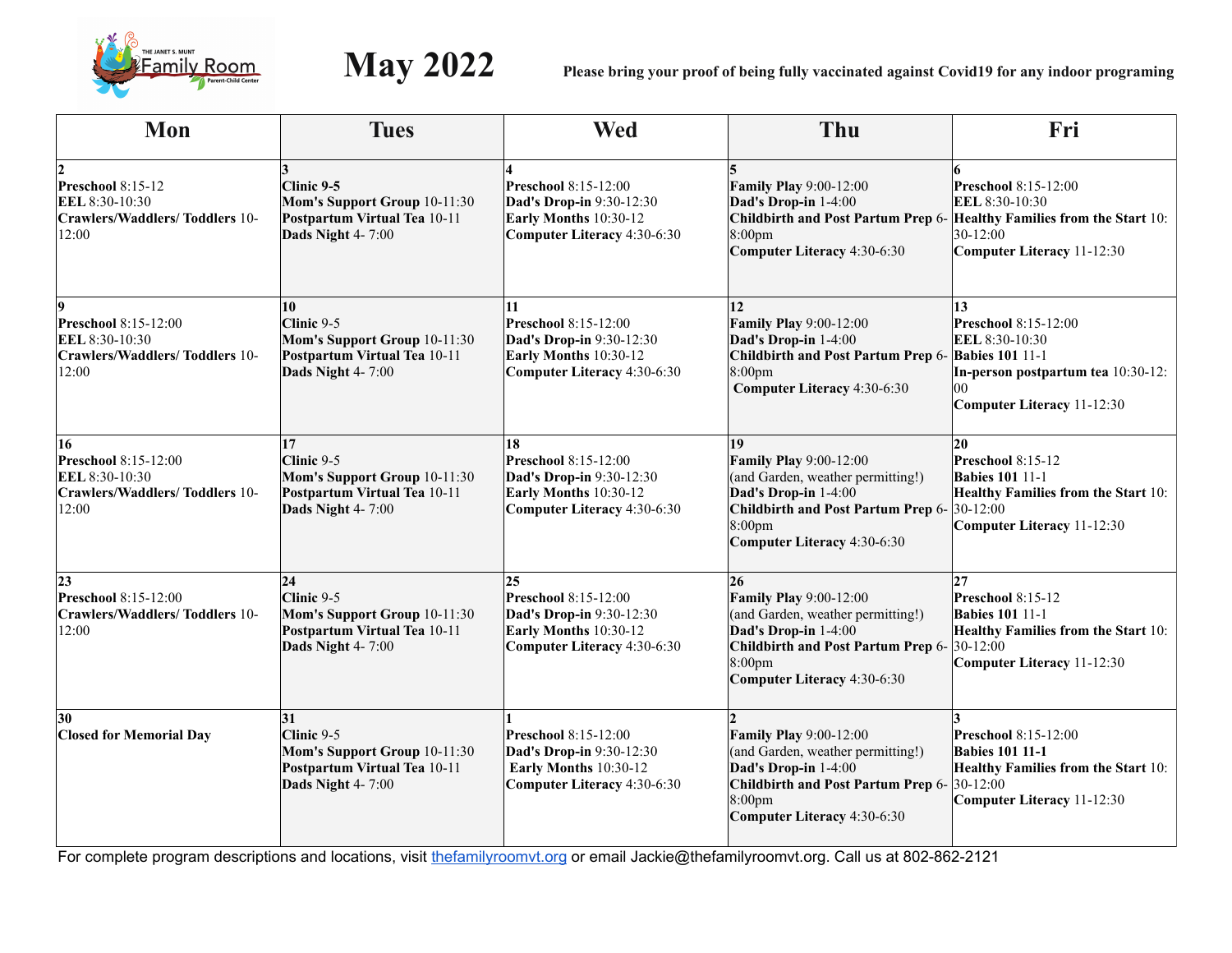

| Mon                                                                                             | <b>Tues</b>                                                                                                       | <b>Wed</b>                                                                                                            | Thu                                                                                                                                                                                                  | Fri                                                                                                                                                                   |
|-------------------------------------------------------------------------------------------------|-------------------------------------------------------------------------------------------------------------------|-----------------------------------------------------------------------------------------------------------------------|------------------------------------------------------------------------------------------------------------------------------------------------------------------------------------------------------|-----------------------------------------------------------------------------------------------------------------------------------------------------------------------|
| Preschool 8:15-12<br>EEL 8:30-10:30<br><b>Crawlers/Waddlers/Toddlers 10-</b><br>12:00           | $Clinic$ 9-5<br>Mom's Support Group 10-11:30<br>Postpartum Virtual Tea 10-11<br>Dads Night 4-7:00                 | <b>Preschool</b> 8:15-12:00<br>Dad's Drop-in 9:30-12:30<br>Early Months 10:30-12<br>Computer Literacy 4:30-6:30       | <b>Family Play 9:00-12:00</b><br>Dad's Drop-in 1-4:00<br>8:00 <sub>pm</sub><br>Computer Literacy 4:30-6:30                                                                                           | <b>Preschool</b> 8:15-12:00<br>EEL 8:30-10:30<br>Childbirth and Post Partum Prep 6- Healthy Families from the Start 10:<br>$30 - 12:00$<br>Computer Literacy 11-12:30 |
| <b>Preschool</b> 8:15-12:00<br>EEL 8:30-10:30<br><b>Crawlers/Waddlers/Toddlers 10-</b><br>12:00 | 10<br>$Clinic 9-5$<br>Mom's Support Group 10-11:30<br>Postpartum Virtual Tea 10-11<br>Dads Night 4-7:00           | 11<br><b>Preschool</b> 8:15-12:00<br>Dad's Drop-in 9:30-12:30<br>Early Months 10:30-12<br>Computer Literacy 4:30-6:30 | 12<br><b>Family Play 9:00-12:00</b><br>Dad's Drop-in 1-4:00<br>Childbirth and Post Partum Prep 6- Babies 101 11-1<br>8:00 <sub>pm</sub><br>Computer Literacy 4:30-6:30                               | 13<br><b>Preschool</b> 8:15-12:00<br>EEL 8:30-10:30<br>In-person postpartum tea 10:30-12:<br>100<br>Computer Literacy 11-12:30                                        |
| 16<br>Preschool 8:15-12:00<br>EEL 8:30-10:30<br><b>Crawlers/Waddlers/Toddlers 10-</b><br>12:00  | $ 17\rangle$<br>$Clinic 9-5$<br>Mom's Support Group 10-11:30<br>Postpartum Virtual Tea 10-11<br>Dads Night 4-7:00 | 18<br>Preschool 8:15-12:00<br>Dad's Drop-in 9:30-12:30<br>Early Months 10:30-12<br>Computer Literacy 4:30-6:30        | 19<br><b>Family Play 9:00-12:00</b><br>(and Garden, weather permitting!)<br>Dad's Drop-in 1-4:00<br>Childbirth and Post Partum Prep 6- 30-12:00<br>8:00 <sub>pm</sub><br>Computer Literacy 4:30-6:30 | $ 20\rangle$<br>Preschool 8:15-12<br><b>Babies 101 11-1</b><br>Healthy Families from the Start 10:<br>Computer Literacy 11-12:30                                      |
| 23<br>Preschool 8:15-12:00<br><b>Crawlers/Waddlers/Toddlers 10-</b><br>12:00                    | 24<br>$Clinic 9-5$<br>Mom's Support Group 10-11:30<br>Postpartum Virtual Tea 10-11<br>Dads Night 4-7:00           | 25<br>Preschool 8:15-12:00<br>Dad's Drop-in 9:30-12:30<br>Early Months 10:30-12<br><b>Computer Literacy 4:30-6:30</b> | 26<br><b>Family Play 9:00-12:00</b><br>(and Garden, weather permitting!)<br>Dad's Drop-in 1-4:00<br>Childbirth and Post Partum Prep 6- 30-12:00<br>8:00 <sub>pm</sub><br>Computer Literacy 4:30-6:30 | 27 <br>Preschool 8:15-12<br><b>Babies 101 11-1</b><br>Healthy Families from the Start 10:<br>Computer Literacy 11-12:30                                               |
| 30<br><b>Closed for Memorial Day</b>                                                            | 31<br>Clinic 9-5<br>Mom's Support Group 10-11:30<br>Postpartum Virtual Tea 10-11<br>Dads Night 4-7:00             | Preschool 8:15-12:00<br>Dad's Drop-in 9:30-12:30<br>Early Months 10:30-12<br>Computer Literacy 4:30-6:30              | <b>Family Play 9:00-12:00</b><br>(and Garden, weather permitting!)<br>Dad's Drop-in 1-4:00<br>Childbirth and Post Partum Prep 6- 30-12:00<br>8:00 <sub>pm</sub><br>Computer Literacy 4:30-6:30       | Preschool 8:15-12:00<br><b>Babies 101 11-1</b><br>Healthy Families from the Start 10:<br>Computer Literacy 11-12:30                                                   |

For complete program descriptions and locations, visit thefamilyroomvt.org or email Jackie@thefamilyroomvt.org. Call us at 802-862-2121